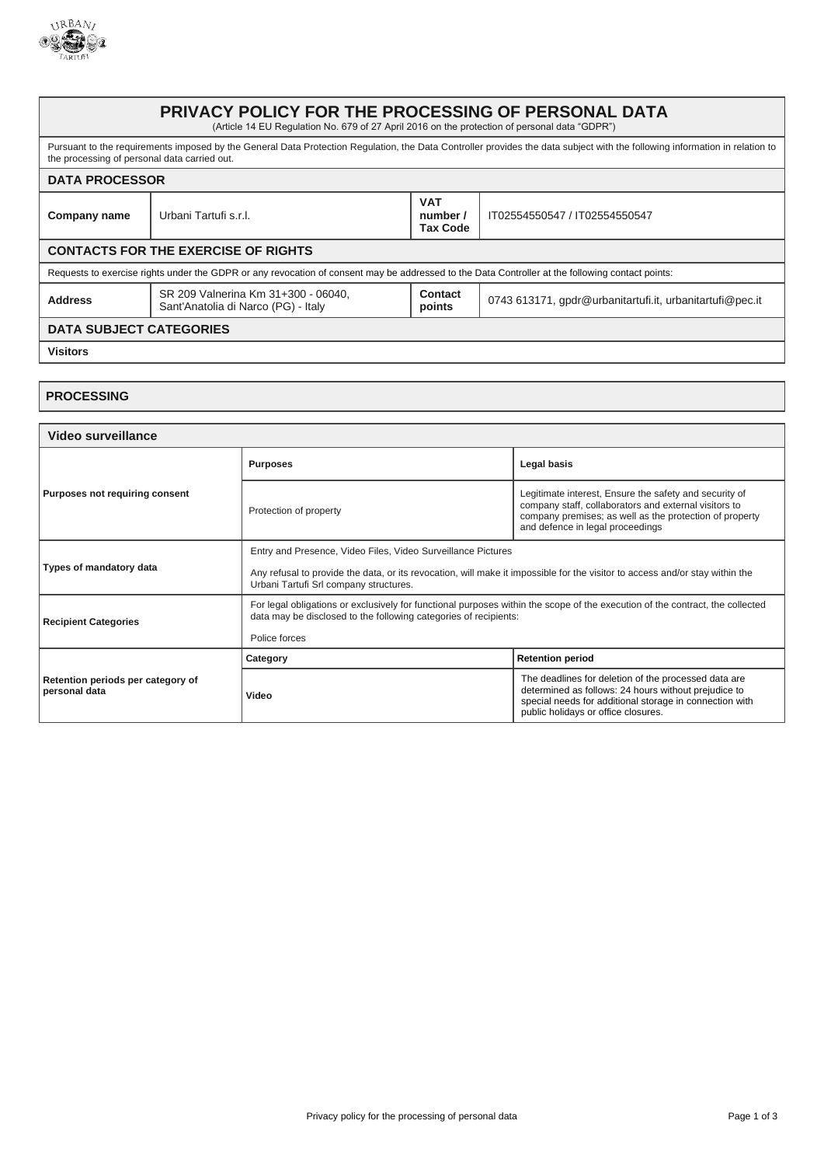

## **PRIVACY POLICY FOR THE PROCESSING OF PERSONAL DATA** (Article 14 EU Regulation No. 679 of 27 April 2016 on the protection of personal data "GDPR") Pursuant to the requirements imposed by the General Data Protection Regulation, the Data Controller provides the data subject with the following information in relation to the processing of personal data carried out. **DATA PROCESSOR Company name** Urbani Tartufi s.r.l. **VAT number / Tax Code** IT02554550547 / IT02554550547 **CONTACTS FOR THE EXERCISE OF RIGHTS** Requests to exercise rights under the GDPR or any revocation of consent may be addressed to the Data Controller at the following contact points: **Address** SR 209 Valnerina Km 31+300 - 06040, Sant'Anatolia di Narco (PG) - Italy **Contact points** 0743 613171, gpdr@urbanitartufi.it, urbanitartufi@pec.it **DATA SUBJECT CATEGORIES Visitors**

## **PROCESSING**

| Video surveillance                                 |                                                                                                                                                                                                   |                                                                                                                                                                                                                |
|----------------------------------------------------|---------------------------------------------------------------------------------------------------------------------------------------------------------------------------------------------------|----------------------------------------------------------------------------------------------------------------------------------------------------------------------------------------------------------------|
| <b>Purposes not requiring consent</b>              | <b>Purposes</b>                                                                                                                                                                                   | Legal basis                                                                                                                                                                                                    |
|                                                    | Protection of property                                                                                                                                                                            | Legitimate interest, Ensure the safety and security of<br>company staff, collaborators and external visitors to<br>company premises; as well as the protection of property<br>and defence in legal proceedings |
| Types of mandatory data                            | Entry and Presence, Video Files, Video Surveillance Pictures                                                                                                                                      |                                                                                                                                                                                                                |
|                                                    | Any refusal to provide the data, or its revocation, will make it impossible for the visitor to access and/or stay within the<br>Urbani Tartufi Srl company structures.                            |                                                                                                                                                                                                                |
| <b>Recipient Categories</b>                        | For legal obligations or exclusively for functional purposes within the scope of the execution of the contract, the collected<br>data may be disclosed to the following categories of recipients: |                                                                                                                                                                                                                |
|                                                    | Police forces                                                                                                                                                                                     |                                                                                                                                                                                                                |
| Retention periods per category of<br>personal data | Category                                                                                                                                                                                          | <b>Retention period</b>                                                                                                                                                                                        |
|                                                    | Video                                                                                                                                                                                             | The deadlines for deletion of the processed data are<br>determined as follows: 24 hours without prejudice to<br>special needs for additional storage in connection with<br>public holidays or office closures. |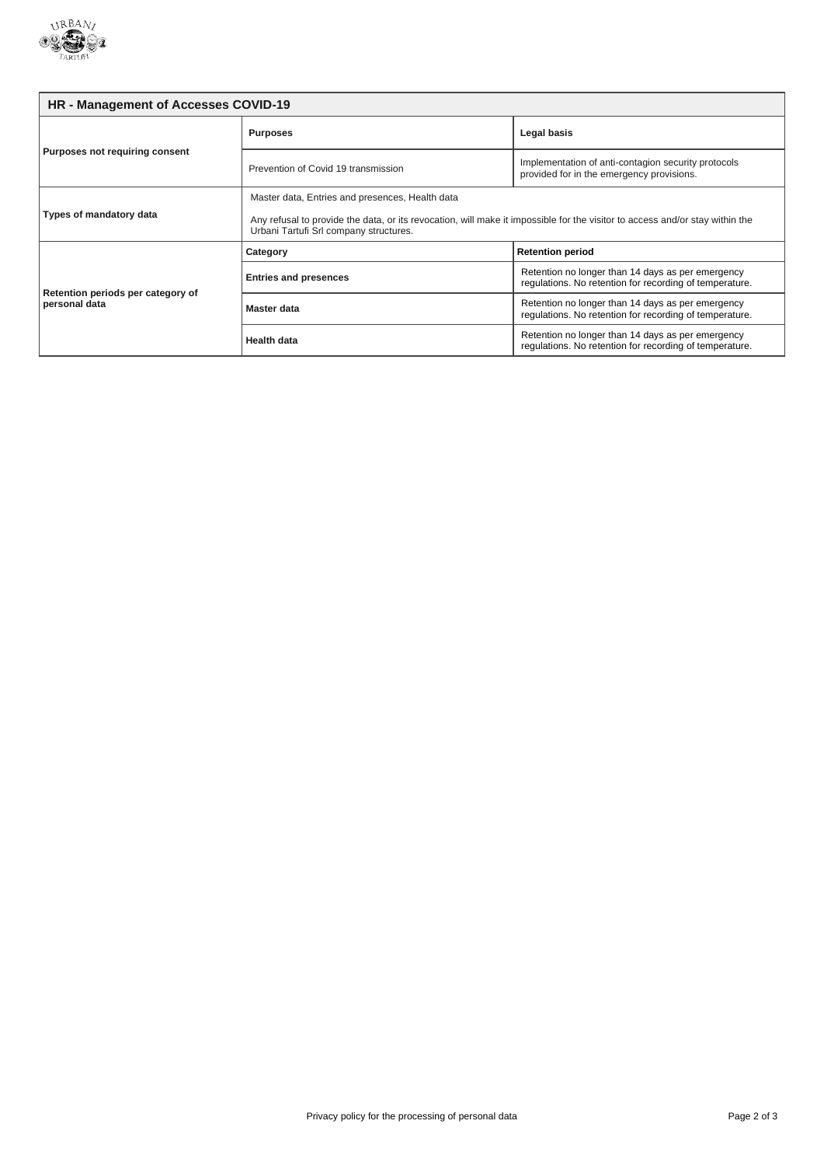

| HR - Management of Accesses COVID-19               |                                                                                                                                                                                                                           |                                                                                                              |  |
|----------------------------------------------------|---------------------------------------------------------------------------------------------------------------------------------------------------------------------------------------------------------------------------|--------------------------------------------------------------------------------------------------------------|--|
| Purposes not requiring consent                     | <b>Purposes</b>                                                                                                                                                                                                           | Legal basis                                                                                                  |  |
|                                                    | Prevention of Covid 19 transmission                                                                                                                                                                                       | Implementation of anti-contagion security protocols<br>provided for in the emergency provisions.             |  |
| Types of mandatory data                            | Master data, Entries and presences, Health data<br>Any refusal to provide the data, or its revocation, will make it impossible for the visitor to access and/or stay within the<br>Urbani Tartufi Srl company structures. |                                                                                                              |  |
| Retention periods per category of<br>personal data | Category                                                                                                                                                                                                                  | <b>Retention period</b>                                                                                      |  |
|                                                    | <b>Entries and presences</b>                                                                                                                                                                                              | Retention no longer than 14 days as per emergency<br>regulations. No retention for recording of temperature. |  |
|                                                    | Master data                                                                                                                                                                                                               | Retention no longer than 14 days as per emergency<br>regulations. No retention for recording of temperature. |  |
|                                                    | <b>Health data</b>                                                                                                                                                                                                        | Retention no longer than 14 days as per emergency<br>regulations. No retention for recording of temperature. |  |